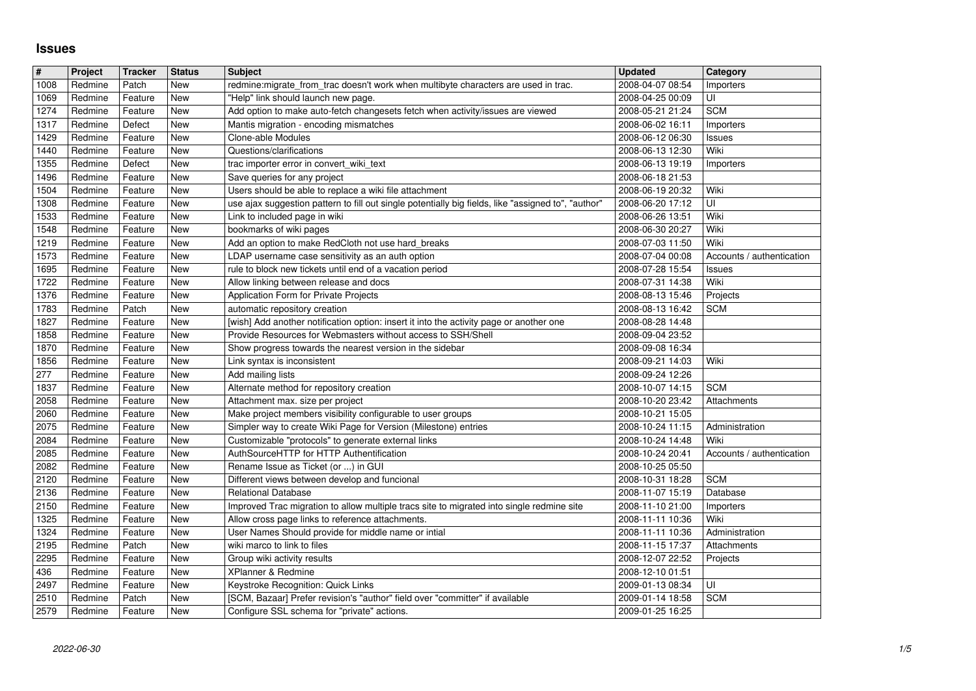## **Issues**

| $\vert$ #<br>1008<br>1069 | Project | <b>Tracker</b> | <b>Status</b> | <b>Subject</b>                                                                                      | <b>Updated</b>   | Category                  |
|---------------------------|---------|----------------|---------------|-----------------------------------------------------------------------------------------------------|------------------|---------------------------|
|                           | Redmine | Patch          | New           | redmine:migrate_from_trac doesn't work when multibyte characters are used in trac.                  | 2008-04-07 08:54 | Importers                 |
|                           | Redmine | Feature        | New           | "Help" link should launch new page.                                                                 | 2008-04-25 00:09 | UI                        |
| 1274                      | Redmine | Feature        | New           | Add option to make auto-fetch changesets fetch when activity/issues are viewed                      | 2008-05-21 21:24 | <b>SCM</b>                |
| 1317                      | Redmine | Defect         | New           | Mantis migration - encoding mismatches                                                              | 2008-06-02 16:11 | Importers                 |
| 1429                      | Redmine | Feature        | New           | Clone-able Modules                                                                                  | 2008-06-12 06:30 | <b>Issues</b>             |
| 1440                      | Redmine | Feature        | New           | Questions/clarifications                                                                            | 2008-06-13 12:30 | Wiki                      |
| 1355                      | Redmine | Defect         | <b>New</b>    | trac importer error in convert_wiki_text                                                            | 2008-06-13 19:19 | Importers                 |
| 1496                      | Redmine | Feature        | New           | Save queries for any project                                                                        | 2008-06-18 21:53 |                           |
| 1504                      | Redmine | Feature        | New           | Users should be able to replace a wiki file attachment                                              | 2008-06-19 20:32 | Wiki                      |
| 1308                      | Redmine | Feature        | New           | use ajax suggestion pattern to fill out single potentially big fields, like "assigned to", "author" | 2008-06-20 17:12 | UI                        |
| 1533                      | Redmine | Feature        | New           | Link to included page in wiki                                                                       | 2008-06-26 13:51 | Wiki                      |
| 1548                      | Redmine | Feature        | New           | bookmarks of wiki pages                                                                             | 2008-06-30 20:27 | Wiki                      |
| 1219                      | Redmine | Feature        | New           | Add an option to make RedCloth not use hard_breaks                                                  | 2008-07-03 11:50 | Wiki                      |
| 1573                      | Redmine | Feature        | New           | LDAP username case sensitivity as an auth option                                                    | 2008-07-04 00:08 | Accounts / authentication |
| 1695                      | Redmine | Feature        | New           | rule to block new tickets until end of a vacation period                                            | 2008-07-28 15:54 | <b>Issues</b>             |
| 1722                      | Redmine | Feature        | New           | Allow linking between release and docs                                                              | 2008-07-31 14:38 | Wiki                      |
| 1376                      | Redmine | Feature        | New           | Application Form for Private Projects                                                               | 2008-08-13 15:46 | Projects                  |
| 1783                      | Redmine | Patch          | New           | automatic repository creation                                                                       | 2008-08-13 16:42 | <b>SCM</b>                |
| 1827                      | Redmine | Feature        | New           | [wish] Add another notification option: insert it into the activity page or another one             | 2008-08-28 14:48 |                           |
| 1858                      | Redmine | Feature        | New           | Provide Resources for Webmasters without access to SSH/Shell                                        | 2008-09-04 23:52 |                           |
| 1870                      | Redmine | Feature        | New           | Show progress towards the nearest version in the sidebar                                            | 2008-09-08 16:34 |                           |
| 1856                      | Redmine | Feature        | New           | Link syntax is inconsistent                                                                         | 2008-09-21 14:03 | Wiki                      |
| 277                       | Redmine | Feature        | New           | Add mailing lists                                                                                   | 2008-09-24 12:26 |                           |
| 1837                      | Redmine | Feature        | New           | Alternate method for repository creation                                                            | 2008-10-07 14:15 | <b>SCM</b>                |
| 2058                      | Redmine | Feature        | New           | Attachment max. size per project                                                                    | 2008-10-20 23:42 | Attachments               |
| 2060                      | Redmine | Feature        | New           | Make project members visibility configurable to user groups                                         | 2008-10-21 15:05 |                           |
| 2075                      | Redmine | Feature        | New           | Simpler way to create Wiki Page for Version (Milestone) entries                                     | 2008-10-24 11:15 | Administration            |
| 2084                      | Redmine | Feature        | New           | Customizable "protocols" to generate external links                                                 | 2008-10-24 14:48 | Wiki                      |
| 2085                      | Redmine | Feature        | <b>New</b>    | AuthSourceHTTP for HTTP Authentification                                                            | 2008-10-24 20:41 | Accounts / authentication |
| 2082                      | Redmine | Feature        | New           | Rename Issue as Ticket (or ) in GUI                                                                 | 2008-10-25 05:50 |                           |
| 2120                      | Redmine | Feature        | New           | Different views between develop and funcional                                                       | 2008-10-31 18:28 | <b>SCM</b>                |
| 2136                      | Redmine | Feature        | New           | <b>Relational Database</b>                                                                          | 2008-11-07 15:19 | Database                  |
| 2150                      | Redmine | Feature        | New           | Improved Trac migration to allow multiple tracs site to migrated into single redmine site           | 2008-11-10 21:00 | Importers                 |
| 1325                      | Redmine | Feature        | New           | Allow cross page links to reference attachments.                                                    | 2008-11-11 10:36 | Wiki                      |
| 1324                      | Redmine | Feature        | New           | User Names Should provide for middle name or intial                                                 | 2008-11-11 10:36 | Administration            |
| 2195                      | Redmine | Patch          | New           | wiki marco to link to files                                                                         | 2008-11-15 17:37 | Attachments               |
| 2295                      | Redmine | Feature        | New           | Group wiki activity results                                                                         | 2008-12-07 22:52 | Projects                  |
| 436                       | Redmine | Feature        | New           | XPlanner & Redmine                                                                                  | 2008-12-10 01:51 |                           |
| 2497                      | Redmine | Feature        | New           | Keystroke Recognition: Quick Links                                                                  | 2009-01-13 08:34 | U                         |
| 2510                      | Redmine | Patch          | New           | [SCM, Bazaar] Prefer revision's "author" field over "committer" if available                        | 2009-01-14 18:58 | <b>SCM</b>                |
| 2579                      | Redmine | Feature        | New           | Configure SSL schema for "private" actions.                                                         | 2009-01-25 16:25 |                           |
|                           |         |                |               |                                                                                                     |                  |                           |
|                           |         |                |               |                                                                                                     |                  |                           |
|                           |         |                |               |                                                                                                     |                  |                           |
|                           |         |                |               |                                                                                                     |                  |                           |
|                           |         |                |               |                                                                                                     |                  |                           |
|                           |         |                |               |                                                                                                     |                  |                           |
|                           |         |                |               |                                                                                                     |                  |                           |
|                           |         |                |               |                                                                                                     |                  |                           |
|                           |         |                |               |                                                                                                     |                  |                           |
|                           |         |                |               |                                                                                                     |                  |                           |
|                           |         |                |               |                                                                                                     |                  |                           |
|                           |         |                |               |                                                                                                     |                  |                           |
|                           |         |                |               |                                                                                                     |                  |                           |
|                           |         |                |               |                                                                                                     |                  |                           |
|                           |         |                |               |                                                                                                     |                  |                           |
|                           |         |                |               |                                                                                                     |                  |                           |
|                           |         |                |               |                                                                                                     |                  |                           |
|                           |         |                |               |                                                                                                     |                  |                           |
|                           |         |                |               |                                                                                                     |                  |                           |
|                           |         |                |               |                                                                                                     |                  |                           |
|                           |         |                |               |                                                                                                     |                  |                           |
|                           |         |                |               |                                                                                                     |                  |                           |
|                           |         |                |               |                                                                                                     |                  |                           |
|                           |         |                |               |                                                                                                     |                  |                           |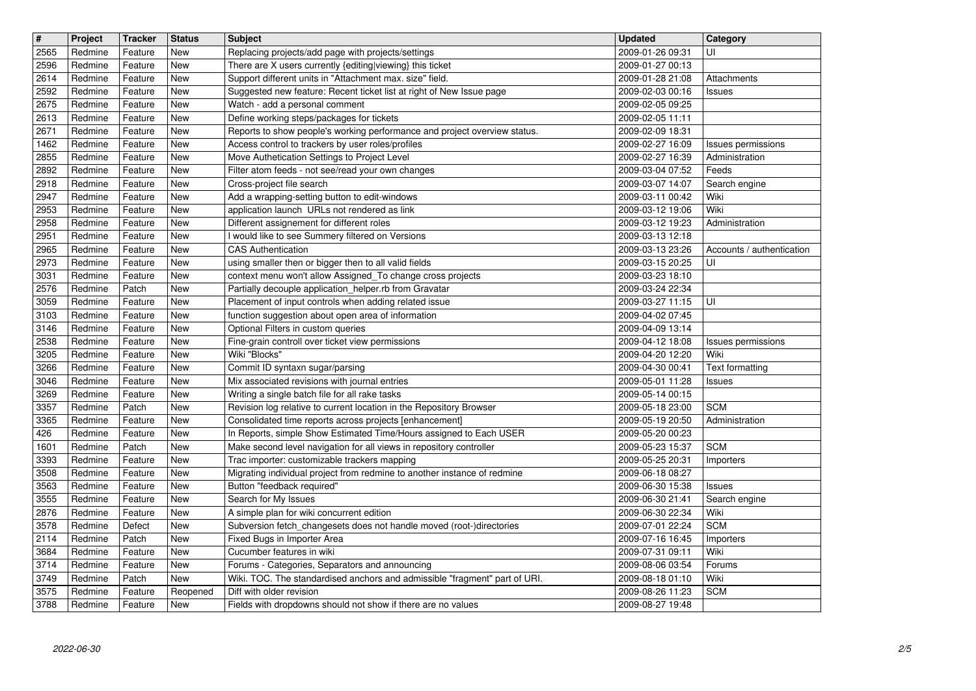| $\overline{\mathbf{t}}$ | Project            | <b>Tracker</b>     | <b>Status</b>     | <b>Subject</b>                                                                                                                   | <b>Updated</b>                       | Category                  |
|-------------------------|--------------------|--------------------|-------------------|----------------------------------------------------------------------------------------------------------------------------------|--------------------------------------|---------------------------|
| 2565                    | Redmine            | Feature            | <b>New</b>        | Replacing projects/add page with projects/settings                                                                               | 2009-01-26 09:31                     | UI                        |
| 2596                    | Redmine            | Feature            | New               | There are X users currently {editing viewing} this ticket                                                                        | 2009-01-27 00:13                     |                           |
| 2614<br>2592            | Redmine<br>Redmine | Feature<br>Feature | New<br>New        | Support different units in "Attachment max. size" field.<br>Suggested new feature: Recent ticket list at right of New Issue page | 2009-01-28 21:08<br>2009-02-03 00:16 | Attachments<br>Issues     |
| 2675                    | Redmine            | Feature            | New               | Watch - add a personal comment                                                                                                   | 2009-02-05 09:25                     |                           |
| 2613                    | Redmine            | Feature            | New               | Define working steps/packages for tickets                                                                                        | 2009-02-05 11:11                     |                           |
| 2671                    | Redmine            | Feature            | New               | Reports to show people's working performance and project overview status.                                                        | 2009-02-09 18:31                     |                           |
| 1462                    | Redmine            | Feature            | New               | Access control to trackers by user roles/profiles                                                                                | 2009-02-27 16:09                     | Issues permissions        |
| 2855<br>2892            | Redmine<br>Redmine | Feature<br>Feature | New<br>New        | Move Authetication Settings to Project Level<br>Filter atom feeds - not see/read your own changes                                | 2009-02-27 16:39<br>2009-03-04 07:52 | Administration<br>Feeds   |
| 2918                    | Redmine            | Feature            | New               | Cross-project file search                                                                                                        | 2009-03-07 14:07                     | Search engine             |
| 2947                    | Redmine            | Feature            | New               | Add a wrapping-setting button to edit-windows                                                                                    | 2009-03-11 00:42                     | Wiki                      |
| 2953                    | Redmine            | Feature            | New               | application launch URLs not rendered as link                                                                                     | 2009-03-12 19:06                     | Wiki                      |
| 2958                    | Redmine            | Feature            | New               | Different assignement for different roles                                                                                        | 2009-03-12 19:23                     | Administration            |
| 2951<br>2965            | Redmine<br>Redmine | Feature<br>Feature | New<br>New        | I would like to see Summery filtered on Versions<br><b>CAS Authentication</b>                                                    | 2009-03-13 12:18<br>2009-03-13 23:26 | Accounts / authentication |
| 2973                    | Redmine            | Feature            | New               | using smaller then or bigger then to all valid fields                                                                            | 2009-03-15 20:25                     | UI                        |
| 3031                    | Redmine            | Feature            | New               | context menu won't allow Assigned_To change cross projects                                                                       | 2009-03-23 18:10                     |                           |
| 2576                    | Redmine            | Patch              | New               | Partially decouple application_helper.rb from Gravatar                                                                           | 2009-03-24 22:34                     |                           |
| 3059<br>3103            | Redmine<br>Redmine | Feature<br>Feature | New<br>New        | Placement of input controls when adding related issue<br>function suggestion about open area of information                      | 2009-03-27 11:15<br>2009-04-02 07:45 | UI                        |
| 3146                    | Redmine            | Feature            | New               | Optional Filters in custom queries                                                                                               | 2009-04-09 13:14                     |                           |
| 2538                    | Redmine            | Feature            | New               | Fine-grain controll over ticket view permissions                                                                                 | 2009-04-12 18:08                     | <b>Issues permissions</b> |
| 3205                    | Redmine            | Feature            | New               | Wiki "Blocks"                                                                                                                    | 2009-04-20 12:20                     | Wiki                      |
| 3266                    | Redmine            | Feature            | New               | Commit ID syntaxn sugar/parsing                                                                                                  | 2009-04-30 00:41                     | <b>Text formatting</b>    |
| 3046<br>3269            | Redmine<br>Redmine | Feature<br>Feature | New<br>New        | Mix associated revisions with journal entries<br>Writing a single batch file for all rake tasks                                  | 2009-05-01 11:28<br>2009-05-14 00:15 | Issues                    |
| 3357                    | Redmine            | Patch              | New               | Revision log relative to current location in the Repository Browser                                                              | 2009-05-18 23:00                     | <b>SCM</b>                |
| 3365                    | Redmine            | Feature            | New               | Consolidated time reports across projects [enhancement]                                                                          | 2009-05-19 20:50                     | Administration            |
| 426                     | Redmine            | Feature            | New               | In Reports, simple Show Estimated Time/Hours assigned to Each USER                                                               | 2009-05-20 00:23                     |                           |
| 1601                    | Redmine            | Patch              | New               | Make second level navigation for all views in repository controller                                                              | 2009-05-23 15:37                     | <b>SCM</b>                |
| 3393<br>3508            | Redmine<br>Redmine | Feature<br>Feature | New<br>New        | Trac importer: customizable trackers mapping<br>Migrating individual project from redmine to another instance of redmine         | 2009-05-25 20:31<br>2009-06-18 08:27 | Importers                 |
| 3563                    | Redmine            | Feature            | New               | Button "feedback required"                                                                                                       | 2009-06-30 15:38                     | <b>Issues</b>             |
| 3555                    | Redmine            | Feature            | New               | Search for My Issues                                                                                                             | 2009-06-30 21:41                     | Search engine             |
| 2876                    | Redmine            | Feature            | New               | A simple plan for wiki concurrent edition                                                                                        | 2009-06-30 22:34                     | Wiki                      |
| 3578<br>2114            | Redmine<br>Redmine | Defect<br>Patch    | New<br><b>New</b> | Subversion fetch_changesets does not handle moved (root-)directories                                                             | 2009-07-01 22:24<br>2009-07-16 16:45 | <b>SCM</b>                |
| 3684                    | Redmine            | Feature            | <b>New</b>        | Fixed Bugs in Importer Area<br>Cucumber features in wiki                                                                         | 2009-07-31 09:11                     | Importers<br>Wiki         |
| 3714                    | Redmine            | Feature            | New               | Forums - Categories, Separators and announcing                                                                                   | 2009-08-06 03:54                     | Forums                    |
| 3749                    | Redmine            | Patch              | New               | Wiki. TOC. The standardised anchors and admissible "fragment" part of URI.                                                       | 2009-08-18 01:10                     | Wiki                      |
| 3575<br>3788            | Redmine<br>Redmine | Feature<br>Feature | Reopened<br>New   | Diff with older revision<br>Fields with dropdowns should not show if there are no values                                         | 2009-08-26 11:23<br>2009-08-27 19:48 | <b>SCM</b>                |
|                         |                    |                    |                   |                                                                                                                                  |                                      |                           |
|                         |                    |                    |                   |                                                                                                                                  |                                      |                           |
|                         |                    |                    |                   |                                                                                                                                  |                                      |                           |
|                         |                    |                    |                   |                                                                                                                                  |                                      |                           |
|                         |                    |                    |                   |                                                                                                                                  |                                      |                           |
|                         |                    |                    |                   |                                                                                                                                  |                                      |                           |
|                         |                    |                    |                   |                                                                                                                                  |                                      |                           |
|                         |                    |                    |                   |                                                                                                                                  |                                      |                           |
|                         |                    |                    |                   |                                                                                                                                  |                                      |                           |
|                         |                    |                    |                   |                                                                                                                                  |                                      |                           |
|                         |                    |                    |                   |                                                                                                                                  |                                      |                           |
|                         |                    |                    |                   |                                                                                                                                  |                                      |                           |
|                         |                    |                    |                   |                                                                                                                                  |                                      |                           |
|                         |                    |                    |                   |                                                                                                                                  |                                      |                           |
|                         |                    |                    |                   |                                                                                                                                  |                                      |                           |
|                         |                    |                    |                   |                                                                                                                                  |                                      |                           |
|                         |                    |                    |                   |                                                                                                                                  |                                      |                           |
|                         |                    |                    |                   |                                                                                                                                  |                                      |                           |
|                         |                    |                    |                   |                                                                                                                                  |                                      |                           |
|                         |                    |                    |                   |                                                                                                                                  |                                      |                           |
|                         |                    |                    |                   |                                                                                                                                  |                                      |                           |
|                         |                    |                    |                   |                                                                                                                                  |                                      |                           |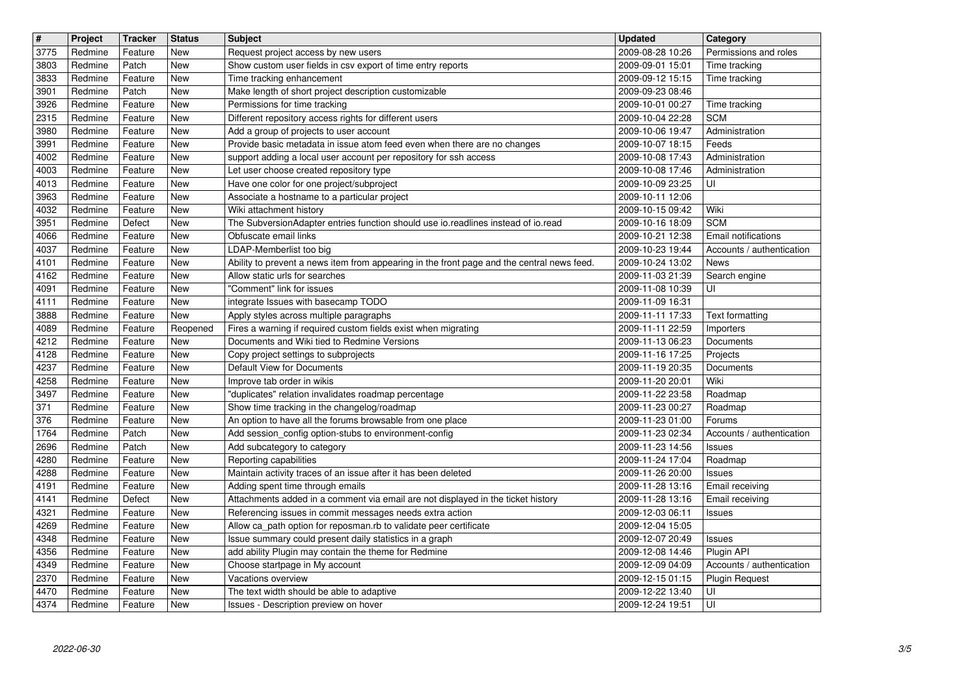| $\overline{\mathbf{H}}$ | Project            | <b>Tracker</b>     | <b>Status</b>                    | <b>Subject</b>                                                                                                               | <b>Updated</b>                       | Category                               |
|-------------------------|--------------------|--------------------|----------------------------------|------------------------------------------------------------------------------------------------------------------------------|--------------------------------------|----------------------------------------|
| 3775<br>3803            | Redmine<br>Redmine | Feature<br>Patch   | <b>New</b><br><b>New</b>         | Request project access by new users<br>Show custom user fields in csv export of time entry reports                           | 2009-08-28 10:26<br>2009-09-01 15:01 | Permissions and roles<br>Time tracking |
| 3833                    | Redmine            | Feature            | <b>New</b>                       | Time tracking enhancement                                                                                                    | 2009-09-12 15:15                     | Time tracking                          |
| 3901                    | Redmine            | Patch              | New                              | Make length of short project description customizable                                                                        | 2009-09-23 08:46                     |                                        |
| 3926<br>2315            | Redmine<br>Redmine | Feature<br>Feature | <b>New</b><br>New                | Permissions for time tracking<br>Different repository access rights for different users                                      | 2009-10-01 00:27<br>2009-10-04 22:28 | Time tracking<br><b>SCM</b>            |
| 3980                    | Redmine            | Feature            | New                              | Add a group of projects to user account                                                                                      | 2009-10-06 19:47                     | Administration                         |
| 3991                    | Redmine            | Feature            | New                              | Provide basic metadata in issue atom feed even when there are no changes                                                     | 2009-10-07 18:15                     | Feeds                                  |
| 4002<br>4003            | Redmine<br>Redmine | Feature<br>Feature | New<br><b>New</b>                | support adding a local user account per repository for ssh access<br>Let user choose created repository type                 | 2009-10-08 17:43<br>2009-10-08 17:46 | Administration<br>Administration       |
| 4013                    | Redmine            | Feature            | New                              | Have one color for one project/subproject                                                                                    | 2009-10-09 23:25                     | UI                                     |
| 3963                    | Redmine            | Feature            | New                              | Associate a hostname to a particular project                                                                                 | 2009-10-11 12:06                     |                                        |
| 4032<br>3951            | Redmine<br>Redmine | Feature<br>Defect  | New<br>New                       | Wiki attachment history<br>The SubversionAdapter entries function should use io.readlines instead of io.read                 | 2009-10-15 09:42<br>2009-10-16 18:09 | Wiki<br><b>SCM</b>                     |
| 4066                    | Redmine            | Feature            | New                              | Obfuscate email links                                                                                                        | 2009-10-21 12:38                     | Email notifications                    |
| 4037                    | Redmine            | Feature            | New                              | LDAP-Memberlist too big                                                                                                      | 2009-10-23 19:44                     | Accounts / authentication              |
| 4101<br>4162            | Redmine<br>Redmine | Feature<br>Feature | New<br>New                       | Ability to prevent a news item from appearing in the front page and the central news feed.<br>Allow static urls for searches | 2009-10-24 13:02<br>2009-11-03 21:39 | News<br>Search engine                  |
| 4091                    | Redmine            | Feature            | <b>New</b>                       | "Comment" link for issues                                                                                                    | 2009-11-08 10:39                     | UI                                     |
| 4111                    | Redmine            | Feature            | New                              | integrate Issues with basecamp TODO                                                                                          | 2009-11-09 16:31                     |                                        |
| 3888<br>4089            | Redmine<br>Redmine | Feature<br>Feature | <b>New</b><br>Reopened           | Apply styles across multiple paragraphs<br>Fires a warning if required custom fields exist when migrating                    | 2009-11-11 17:33<br>2009-11-11 22:59 | <b>Text formatting</b><br>Importers    |
| 4212                    | Redmine            | Feature            | New                              | Documents and Wiki tied to Redmine Versions                                                                                  | 2009-11-13 06:23                     | Documents                              |
| 4128                    | Redmine            | Feature            | New                              | Copy project settings to subprojects                                                                                         | 2009-11-16 17:25                     | Projects                               |
| 4237<br>4258            | Redmine<br>Redmine | Feature<br>Feature | New<br>New                       | Default View for Documents<br>Improve tab order in wikis                                                                     | 2009-11-19 20:35<br>2009-11-20 20:01 | Documents<br>Wiki                      |
| 3497                    | Redmine            | Feature            | New                              | "duplicates" relation invalidates roadmap percentage                                                                         | 2009-11-22 23:58                     | Roadmap                                |
| 371                     | Redmine            | Feature            | New                              | Show time tracking in the changelog/roadmap                                                                                  | 2009-11-23 00:27                     | Roadmap                                |
| 376<br>1764             | Redmine<br>Redmine | Feature<br>Patch   | New<br>New                       | An option to have all the forums browsable from one place<br>Add session_config option-stubs to environment-config           | 2009-11-23 01:00<br>2009-11-23 02:34 | Forums<br>Accounts / authentication    |
| 2696                    | Redmine            | Patch              | New                              | Add subcategory to category                                                                                                  | 2009-11-23 14:56                     | <b>Issues</b>                          |
| 4280                    | Redmine            | Feature            | New                              | Reporting capabilities                                                                                                       | 2009-11-24 17:04                     | Roadmap                                |
| 4288<br>4191            | Redmine<br>Redmine | Feature<br>Feature | New<br>New                       | Maintain activity traces of an issue after it has been deleted<br>Adding spent time through emails                           | 2009-11-26 20:00<br>2009-11-28 13:16 | <b>Issues</b><br>Email receiving       |
| 4141                    | Redmine            | Defect             | New                              | Attachments added in a comment via email are not displayed in the ticket history                                             | 2009-11-28 13:16                     | Email receiving                        |
| 4321                    | Redmine            | Feature            | New                              | Referencing issues in commit messages needs extra action                                                                     | 2009-12-03 06:11                     | Issues                                 |
| 4269                    | Redmine            | Feature            | <b>New</b>                       | Allow ca_path option for reposman.rb to validate peer certificate                                                            | 2009-12-04 15:05                     |                                        |
| 4348<br>4356            | Redmine<br>Redmine | Feature<br>Feature | New<br>$\overline{\mathsf{New}}$ | Issue summary could present daily statistics in a graph<br>add ability Plugin may contain the theme for Redmine              | 2009-12-07 20:49<br>2009-12-08 14:46 | <b>Issues</b><br>Plugin API            |
| 4349                    | Redmine            | Feature            | New                              | Choose startpage in My account                                                                                               | 2009-12-09 04:09                     | Accounts / authentication              |
| 2370                    | Redmine            | Feature            | New                              | Vacations overview                                                                                                           | 2009-12-15 01:15                     | Plugin Request                         |
| 4470<br>4374            | Redmine<br>Redmine | Feature<br>Feature | New<br>New                       | The text width should be able to adaptive<br>Issues - Description preview on hover                                           | 2009-12-22 13:40<br>2009-12-24 19:51 | UI<br>UI                               |
|                         |                    |                    |                                  |                                                                                                                              |                                      |                                        |
|                         |                    |                    |                                  |                                                                                                                              |                                      |                                        |
|                         |                    |                    |                                  |                                                                                                                              |                                      |                                        |
|                         |                    |                    |                                  |                                                                                                                              |                                      |                                        |
|                         |                    |                    |                                  |                                                                                                                              |                                      |                                        |
|                         |                    |                    |                                  |                                                                                                                              |                                      |                                        |
|                         |                    |                    |                                  |                                                                                                                              |                                      |                                        |
|                         |                    |                    |                                  |                                                                                                                              |                                      |                                        |
|                         |                    |                    |                                  |                                                                                                                              |                                      |                                        |
|                         |                    |                    |                                  |                                                                                                                              |                                      |                                        |
|                         |                    |                    |                                  |                                                                                                                              |                                      |                                        |
|                         |                    |                    |                                  |                                                                                                                              |                                      |                                        |
|                         |                    |                    |                                  |                                                                                                                              |                                      |                                        |
|                         |                    |                    |                                  |                                                                                                                              |                                      |                                        |
|                         |                    |                    |                                  |                                                                                                                              |                                      |                                        |
|                         |                    |                    |                                  |                                                                                                                              |                                      |                                        |
|                         |                    |                    |                                  |                                                                                                                              |                                      |                                        |
|                         |                    |                    |                                  |                                                                                                                              |                                      |                                        |
|                         |                    |                    |                                  |                                                                                                                              |                                      |                                        |
|                         |                    |                    |                                  |                                                                                                                              |                                      |                                        |
|                         |                    |                    |                                  |                                                                                                                              |                                      |                                        |
|                         |                    |                    |                                  |                                                                                                                              |                                      |                                        |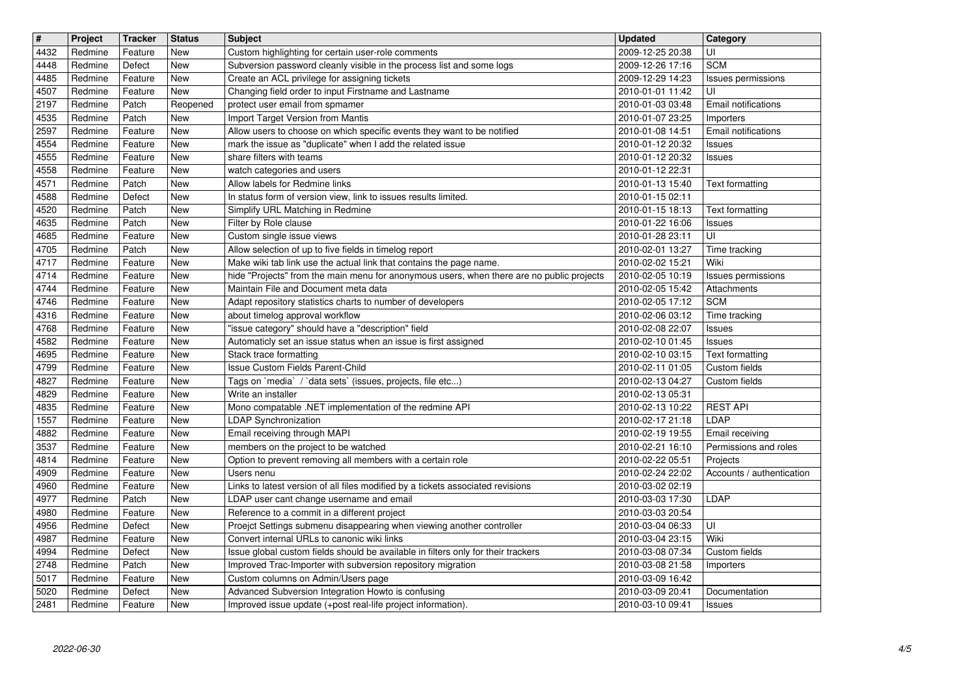| $\sqrt{t}$ | Project | <b>Tracker</b> | <b>Status</b> | <b>Subject</b>                                                                            | <b>Updated</b>                       | Category                  |
|------------|---------|----------------|---------------|-------------------------------------------------------------------------------------------|--------------------------------------|---------------------------|
| 4432       | Redmine | Feature        | <b>New</b>    | Custom highlighting for certain user-role comments                                        | 2009-12-25 20:38                     | UI                        |
| 4448       | Redmine | Defect         | <b>New</b>    | Subversion password cleanly visible in the process list and some logs                     | 2009-12-26 17:16                     | <b>SCM</b>                |
| 4485       | Redmine | Feature        | <b>New</b>    | Create an ACL privilege for assigning tickets                                             | 2009-12-29 14:23                     | Issues permissions        |
| 4507       | Redmine | Feature        | New           | Changing field order to input Firstname and Lastname                                      | 2010-01-01 11:42                     | UI                        |
| 2197       | Redmine | Patch          | Reopened      | protect user email from spmamer                                                           | 2010-01-03 03:48                     | Email notifications       |
| 4535       | Redmine | Patch          | <b>New</b>    | Import Target Version from Mantis                                                         | 2010-01-07 23:25                     | Importers                 |
| 2597       | Redmine | Feature        | <b>New</b>    | Allow users to choose on which specific events they want to be notified                   | 2010-01-08 14:51                     | Email notifications       |
| 4554       | Redmine | Feature        | <b>New</b>    | mark the issue as "duplicate" when I add the related issue                                | 2010-01-12 20:32                     | <b>Issues</b>             |
| 4555       | Redmine | Feature        | <b>New</b>    | share filters with teams                                                                  | 2010-01-12 20:32                     | <b>Issues</b>             |
| 4558       | Redmine | Feature        | <b>New</b>    | watch categories and users                                                                | 2010-01-12 22:31                     |                           |
| 4571       | Redmine | Patch          | <b>New</b>    | Allow labels for Redmine links                                                            | 2010-01-13 15:40                     | Text formatting           |
| 4588       | Redmine | Defect         | <b>New</b>    | In status form of version view, link to issues results limited.                           | 2010-01-15 02:11                     |                           |
| 4520       | Redmine | Patch          | <b>New</b>    | Simplify URL Matching in Redmine                                                          | 2010-01-15 18:13                     | <b>Text formatting</b>    |
| 4635       | Redmine | Patch          | <b>New</b>    |                                                                                           |                                      |                           |
| 4685       | Redmine | Feature        | <b>New</b>    | Filter by Role clause<br>Custom single issue views                                        | 2010-01-22 16:06<br>2010-01-28 23:11 | <b>Issues</b><br>UI       |
| 4705       | Redmine | Patch          | <b>New</b>    | Allow selection of up to five fields in timelog report                                    | 2010-02-01 13:27                     | Time tracking             |
| 4717       | Redmine | Feature        | <b>New</b>    | Make wiki tab link use the actual link that contains the page name.                       | 2010-02-02 15:21                     | Wiki                      |
| 4714       | Redmine | Feature        | <b>New</b>    | hide "Projects" from the main menu for anonymous users, when there are no public projects | 2010-02-05 10:19                     | Issues permissions        |
| 4744       | Redmine | Feature        | <b>New</b>    | Maintain File and Document meta data                                                      | 2010-02-05 15:42                     | Attachments               |
| 4746       | Redmine | Feature        | <b>New</b>    | Adapt repository statistics charts to number of developers                                | 2010-02-05 17:12                     | <b>SCM</b>                |
| 4316       | Redmine | Feature        | <b>New</b>    | about timelog approval workflow                                                           | 2010-02-06 03:12                     | Time tracking             |
| 4768       | Redmine | Feature        | <b>New</b>    | "issue category" should have a "description" field                                        | 2010-02-08 22:07                     | <b>Issues</b>             |
| 4582       | Redmine | Feature        | <b>New</b>    | Automaticly set an issue status when an issue is first assigned                           | 2010-02-10 01:45                     | <b>Issues</b>             |
| 4695       | Redmine | Feature        | <b>New</b>    | Stack trace formatting                                                                    | 2010-02-10 03:15                     | <b>Text formatting</b>    |
| 4799       | Redmine | Feature        | <b>New</b>    | Issue Custom Fields Parent-Child                                                          | 2010-02-11 01:05                     | Custom fields             |
| 4827       | Redmine | Feature        | New           | Tags on `media` / `data sets` (issues, projects, file etc)                                | 2010-02-13 04:27                     | Custom fields             |
| 4829       | Redmine | Feature        | <b>New</b>    | Write an installer                                                                        | 2010-02-13 05:31                     |                           |
| 4835       | Redmine | Feature        | <b>New</b>    | Mono compatable .NET implementation of the redmine API                                    | 2010-02-13 10:22                     | <b>REST API</b>           |
| 1557       | Redmine | Feature        | <b>New</b>    | LDAP Synchronization                                                                      | 2010-02-17 21:18                     | LDAP                      |
| 4882       | Redmine | Feature        | <b>New</b>    | Email receiving through MAPI                                                              | 2010-02-19 19:55                     | Email receiving           |
| 3537       | Redmine | Feature        | <b>New</b>    | members on the project to be watched                                                      | 2010-02-21 16:10                     | Permissions and roles     |
| 4814       | Redmine | Feature        | <b>New</b>    | Option to prevent removing all members with a certain role                                | 2010-02-22 05:51                     | Projects                  |
| 4909       | Redmine | Feature        | <b>New</b>    | Users nenu                                                                                | 2010-02-24 22:02                     | Accounts / authentication |
| 4960       | Redmine | Feature        | <b>New</b>    | Links to latest version of all files modified by a tickets associated revisions           | 2010-03-02 02:19                     |                           |
| 4977       | Redmine | Patch          | <b>New</b>    | LDAP user cant change username and email                                                  | 2010-03-03 17:30                     | LDAP                      |
| 4980       | Redmine | Feature        | <b>New</b>    | Reference to a commit in a different project                                              | 2010-03-03 20:54                     |                           |
| 4956       | Redmine | Defect         | <b>New</b>    | Proejct Settings submenu disappearing when viewing another controller                     | 2010-03-04 06:33                     | UI                        |
| 4987       | Redmine | Feature        | New           | Convert internal URLs to canonic wiki links                                               | 2010-03-04 23:15                     | Wiki                      |
| 4994       | Redmine | Defect         | New           | Issue global custom fields should be available in filters only for their trackers         | 2010-03-08 07:34                     | Custom fields             |
| 2748       | Redmine | Patch          | New           | Improved Trac-Importer with subversion repository migration                               | 2010-03-08 21:58                     | Importers                 |
| 5017       | Redmine | Feature        | New           | Custom columns on Admin/Users page                                                        | 2010-03-09 16:42                     |                           |
| 5020       | Redmine | Defect         | New           | Advanced Subversion Integration Howto is confusing                                        | 2010-03-09 20:41                     | Documentation             |
| 2481       | Redmine | Feature        | New           | Improved issue update (+post real-life project information).                              | 2010-03-10 09:41                     | <b>Issues</b>             |
|            |         |                |               |                                                                                           |                                      |                           |
|            |         |                |               |                                                                                           |                                      |                           |
|            |         |                |               |                                                                                           |                                      |                           |
|            |         |                |               |                                                                                           |                                      |                           |
|            |         |                |               |                                                                                           |                                      |                           |
|            |         |                |               |                                                                                           |                                      |                           |
|            |         |                |               |                                                                                           |                                      |                           |
|            |         |                |               |                                                                                           |                                      |                           |
|            |         |                |               |                                                                                           |                                      |                           |
|            |         |                |               |                                                                                           |                                      |                           |
|            |         |                |               |                                                                                           |                                      |                           |